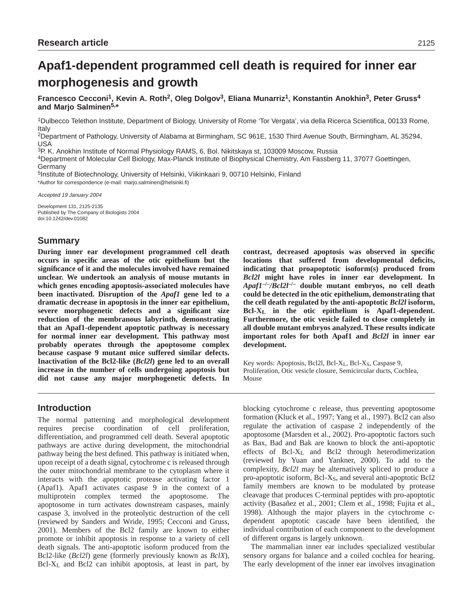# **Apaf1-dependent programmed cell death is required for inner ear morphogenesis and growth**

**Francesco Cecconi1, Kevin A. Roth2, Oleg Dolgov3, Eliana Munarriz1, Konstantin Anokhin3, Peter Gruss4 and Marjo Salminen5,\***

1Dulbecco Telethon Institute, Department of Biology, University of Rome 'Tor Vergata', via della Ricerca Scientifica, 00133 Rome, Italy

2Department of Pathology, University of Alabama at Birmingham, SC 961E, 1530 Third Avenue South, Birmingham, AL 35294, USA

3P. K. Anokhin Institute of Normal Physiology RAMS, 6, Bol. Nikitskaya st, 103009 Moscow, Russia

4Department of Molecular Cell Biology, Max-Planck Institute of Biophysical Chemistry, Am Fassberg 11, 37077 Goettingen, Germany

5Institute of Biotechnology, University of Helsinki, Viikinkaari 9, 00710 Helsinki, Finland \*Author for correspondence (e-mail: marjo.salminen@helsinki.fi)

Accepted 19 January 2004

Development 131, 2125-2135 Published by The Company of Biologists 2004 doi:10.1242/dev.01082

# **Summary**

**During inner ear development programmed cell death occurs in specific areas of the otic epithelium but the significance of it and the molecules involved have remained unclear. We undertook an analysis of mouse mutants in which genes encoding apoptosis-associated molecules have been inactivated. Disruption of the** *Apaf1* **gene led to a dramatic decrease in apoptosis in the inner ear epithelium, severe morphogenetic defects and a significant size reduction of the membranous labyrinth, demonstrating that an Apaf1-dependent apoptotic pathway is necessary for normal inner ear development. This pathway most probably operates through the apoptosome complex because caspase 9 mutant mice suffered similar defects. Inactivation of the Bcl2-like (***Bcl2l***) gene led to an overall increase in the number of cells undergoing apoptosis but did not cause any major morphogenetic defects. In**

**contrast, decreased apoptosis was observed in specific locations that suffered from developmental deficits, indicating that proapoptotic isoform(s) produced from** *Bcl2l* **might have roles in inner ear development. In** *Apaf1***–/–***/Bcl2l***–/– double mutant embryos, no cell death could be detected in the otic epithelium, demonstrating that the cell death regulated by the anti-apoptotic** *Bcl2l* **isoform, Bcl-XL in the otic epithelium is Apaf1-dependent. Furthermore, the otic vesicle failed to close completely in all double mutant embryos analyzed. These results indicate important roles for both Apaf1 and** *Bcl2l* **in inner ear development.**

Key words: Apoptosis, Bcl2l, Bcl-X<sub>L</sub>, Bcl-X<sub>S</sub>, Caspase 9, Proliferation, Otic vesicle closure, Semicircular ducts, Cochlea, Mouse

# **Introduction**

The normal patterning and morphological development requires precise coordination of cell proliferation, differentiation, and programmed cell death. Several apoptotic pathways are active during development, the mitochondrial pathway being the best defined. This pathway is initiated when, upon receipt of a death signal, cytochrome c is released through the outer mitochondrial membrane to the cytoplasm where it interacts with the apoptotic protease activating factor 1 (Apaf1). Apaf1 activates caspase 9 in the context of a multiprotein complex termed the apoptosome. The apoptosome in turn activates downstream caspases, mainly caspase 3, involved in the proteolytic destruction of the cell (reviewed by Sanders and Wride, 1995; Cecconi and Gruss, 2001). Members of the Bcl2 family are known to either promote or inhibit apoptosis in response to a variety of cell death signals. The anti-apoptotic isoform produced from the Bcl2-like (*Bcl2l*) gene (formerly previously known as *BclX*), Bcl-XL and Bcl2 can inhibit apoptosis, at least in part, by

blocking cytochrome c release, thus preventing apoptosome formation (Kluck et al., 1997; Yang et al., 1997). Bcl2 can also regulate the activation of caspase 2 independently of the apoptosome (Marsden et al., 2002). Pro-apoptotic factors such as Bax, Bad and Bak are known to block the anti-apoptotic effects of Bcl-XL and Bcl2 through heterodimerization (reviewed by Yuan and Yankner, 2000). To add to the complexity, *Bcl2l* may be alternatively spliced to produce a pro-apoptotic isoform, Bcl-XS, and several anti-apoptotic Bcl2 family members are known to be modulated by protease cleavage that produces C-terminal peptides with pro-apoptotic activity (Basañez et al., 2001; Clem et al., 1998; Fujita et al., 1998). Although the major players in the cytochrome cdependent apoptotic cascade have been identified, the individual contribution of each component to the development of different organs is largely unknown.

The mammalian inner ear includes specialized vestibular sensory organs for balance and a coiled cochlea for hearing. The early development of the inner ear involves invagination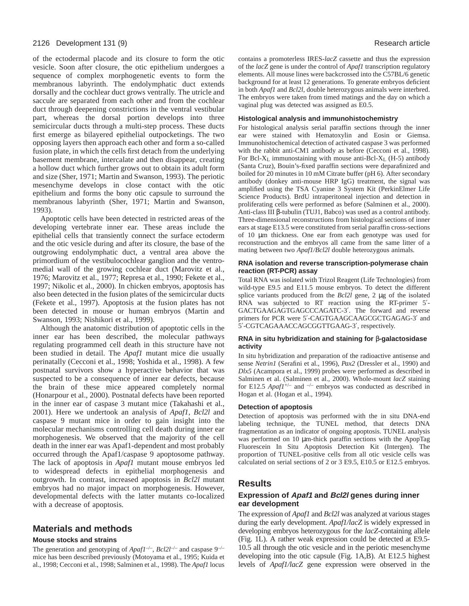of the ectodermal placode and its closure to form the otic vesicle. Soon after closure, the otic epithelium undergoes a sequence of complex morphogenetic events to form the membranous labyrinth. The endolymphatic duct extends dorsally and the cochlear duct grows ventrally. The utricle and saccule are separated from each other and from the cochlear duct through deepening constrictions in the ventral vestibular part, whereas the dorsal portion develops into three semicircular ducts through a multi-step process. These ducts first emerge as bilayered epithelial outpocketings. The two opposing layers then approach each other and form a so-called fusion plate, in which the cells first detach from the underlying basement membrane, intercalate and then disappear, creating a hollow duct which further grows out to obtain its adult form and size (Sher, 1971; Martin and Swanson, 1993). The periotic mesenchyme develops in close contact with the otic epithelium and forms the bony otic capsule to surround the membranous labyrinth (Sher, 1971; Martin and Swanson, 1993).

Apoptotic cells have been detected in restricted areas of the developing vertebrate inner ear. These areas include the epithelial cells that transiently connect the surface ectoderm and the otic vesicle during and after its closure, the base of the outgrowing endolymphatic duct, a ventral area above the primordium of the vestibulocochlear ganglion and the ventromedial wall of the growing cochlear duct (Marovitz et al., 1976; Marovitz et al., 1977; Represa et al., 1990; Fekete et al., 1997; Nikolic et al., 2000). In chicken embryos, apoptosis has also been detected in the fusion plates of the semicircular ducts (Fekete et al., 1997). Apoptosis at the fusion plates has not been detected in mouse or human embryos (Martin and Swanson, 1993; Nishikori et al., 1999).

Although the anatomic distribution of apoptotic cells in the inner ear has been described, the molecular pathways regulating programmed cell death in this structure have not been studied in detail. The *Apaf1* mutant mice die usually perinatally (Cecconi et al., 1998; Yoshida et al., 1998). A few postnatal survivors show a hyperactive behavior that was suspected to be a consequence of inner ear defects, because the brain of these mice appeared completely normal (Honarpour et al., 2000). Postnatal defects have been reported in the inner ear of caspase 3 mutant mice (Takahashi et al., 2001). Here we undertook an analysis of *Apaf1*, *Bcl2l* and caspase 9 mutant mice in order to gain insight into the molecular mechanisms controlling cell death during inner ear morphogenesis. We observed that the majority of the cell death in the inner ear was Apaf1-dependent and most probably occurred through the Apaf1/caspase 9 apoptosome pathway. The lack of apoptosis in *Apaf1* mutant mouse embryos led to widespread defects in epithelial morphogenesis and outgrowth. In contrast, increased apoptosis in *Bcl2l* mutant embryos had no major impact on morphogenesis. However, developmental defects with the latter mutants co-localized with a decrease of apoptosis.

# **Materials and methods**

# **Mouse stocks and strains**

The generation and genotyping of  $A\text{paf1}^{-/-}$ ,  $B\text{cl2}^{-/-}$  and caspase 9<sup>-/–</sup> mice has been described previously (Motoyama et al., 1995; Kuida et al., 1998; Cecconi et al., 1998; Salminen et al., 1998). The *Apaf1* locus contains a promoterless IRES-*lacZ* cassette and thus the expression of the *lacZ* gene is under the control of *Apaf1* transcription regulatory elements. All mouse lines were backcrossed into the C57BL/6 genetic background for at least 12 generations*.* To generate embryos deficient in both *Apaf1* and *Bcl2l*, double heterozygous animals were interbred. The embryos were taken from timed matings and the day on which a vaginal plug was detected was assigned as E0.5.

#### **Histological analysis and immunohistochemistry**

For histological analysis serial paraffin sections through the inner ear were stained with Hematoxylin and Eosin or Giemsa. Immunohistochemical detection of activated caspase 3 was performed with the rabbit anti-CM1 antibody as before (Cecconi et al., 1998). For Bcl-XL immunostaining with mouse anti-Bcl-XL (H-5) antibody (Santa Cruz), Bouin's-fixed paraffin sections were deparafinized and boiled for 20 minutes in 10 mM Citrate buffer (pH 6). After secondary antibody (donkey anti-mouse HRP IgG) treatment, the signal was amplified using the TSA Cyanine 3 System Kit (PerkinElmer Life Science Products). BrdU intraperitoneal injection and detection in proliferating cells were performed as before (Salminen et al., 2000). Anti-class III β-tubulin (TUJ1, Babco) was used as a control antibody. Three-dimensional reconstructions from histological sections of inner ears at stage E13.5 were constituted from serial paraffin cross-sections of 10 µm thickness. One ear from each genotype was used for reconstruction and the embryos all came from the same litter of a mating between two *Apaf1/Bcl2l* double heterozygous animals.

#### **RNA isolation and reverse transcription-polymerase chain reaction (RT-PCR) assay**

Total RNA was isolated with Trizol Reagent (Life Technologies) from wild-type E9.5 and E11.5 mouse embryos. To detect the different splice variants produced from the *Bcl2l* gene, 2 µg of the isolated RNA was subjected to RT reaction using the RT-primer 5′- GACTGAAGAGTGAGCCCAGATC-3′. The forward and reverse primers for PCR were 5′-CAGTGAAGCAAGCGCTGAGAG-3′ and 5′-CGTCAGAAACCAGCGGTTGAAG-3′, respectively.

#### **RNA in situ hybridization and staining for** β**-galactosidase activity**

In situ hybridization and preparation of the radioactive antisense and sense *Netrin1* (Serafini et al., 1996), *Pax2* (Dressler et al., 1990) and *Dlx5* (Acampora et al., 1999) probes were performed as described in Salminen et al. (Salminen et al., 2000). Whole-mount *lacZ* staining for E12.5  $A \rho a f l^{+/-}$  and  $-/-$  embryos was conducted as described in Hogan et al. (Hogan et al., 1994).

#### **Detection of apoptosis**

Detection of apoptosis was performed with the in situ DNA-end labeling technique, the TUNEL method, that detects DNA fragmentation as an indicator of ongoing apoptosis. TUNEL analysis was performed on 10  $\mu$ m-thick paraffin sections with the ApopTag Fluorescein In Situ Apoptosis Detection Kit (Intergen). The proportion of TUNEL-positive cells from all otic vesicle cells was calculated on serial sections of 2 or 3 E9.5, E10.5 or E12.5 embryos.

# **Results**

# **Expression of Apaf1 and Bcl2l genes during inner ear development**

The expression of *Apaf1* and *Bcl2l* was analyzed at various stages during the early development. *Apaf1/lacZ* is widely expressed in developing embryos heterozygous for the *lacZ*-containing allele (Fig. 1L). A rather weak expression could be detected at E9.5- 10.5 all through the otic vesicle and in the periotic mesenchyme developing into the otic capsule (Fig. 1A,B). At E12.5 highest levels of *Apaf1/lacZ* gene expression were observed in the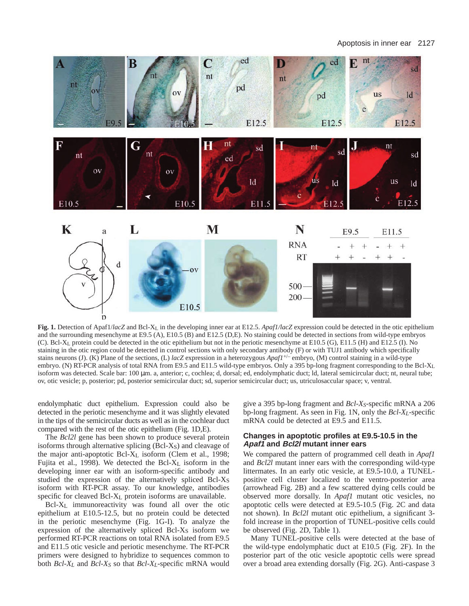Apoptosis in inner ear 2127



**Fig. 1.** Detection of Apaf1/*lacZ* and Bcl-X<sub>L</sub> in the developing inner ear at E12.5. *Apaf1/lacZ* expression could be detected in the otic epithelium and the surrounding mesenchyme at E9.5 (A), E10.5 (B) and E12.5 (D,E). No staining could be detected in sections from wild-type embryos (C). Bcl-XL protein could be detected in the otic epithelium but not in the periotic mesenchyme at E10.5 (G), E11.5 (H) and E12.5 (I). No staining in the otic region could be detected in control sections with only secondary antibody (F) or with TUJ1 antibody which specifically stains neurons (J). (K) Plane of the sections, (L) *lacZ* expression in a heterozygous *Apaf1*+/– embryo, (M) control staining in a wild-type embryo. (N) RT-PCR analysis of total RNA from E9.5 and E11.5 wild-type embryos. Only a 395 bp-long fragment corresponding to the Bcl-XL isoform was detected. Scale bar: 100  $\mu$ m. a, anterior; c, cochlea; d, dorsal; ed, endolymphatic duct; ld, lateral semicircular duct; nt, neural tube; ov, otic vesicle; p, posterior; pd, posterior semicircular duct; sd, superior semicircular duct; us, utriculosaccular space; v, ventral.

endolymphatic duct epithelium. Expression could also be detected in the periotic mesenchyme and it was slightly elevated in the tips of the semicircular ducts as well as in the cochlear duct compared with the rest of the otic epithelium (Fig. 1D,E).

The *Bcl2l* gene has been shown to produce several protein isoforms through alternative splicing  $(Bcl-X<sub>S</sub>)$  and cleavage of the major anti-apoptotic Bcl-XL isoform (Clem et al., 1998; Fujita et al., 1998). We detected the Bcl-XL isoform in the developing inner ear with an isoform-specific antibody and studied the expression of the alternatively spliced Bcl-XS isoform with RT-PCR assay. To our knowledge, antibodies specific for cleaved Bcl-XL protein isoforms are unavailable.

Bcl-XL immunoreactivity was found all over the otic epithelium at E10.5-12.5, but no protein could be detected in the periotic mesenchyme (Fig. 1G-I). To analyze the expression of the alternatively spliced Bcl-X<sub>S</sub> isoform we performed RT-PCR reactions on total RNA isolated from E9.5 and E11.5 otic vesicle and periotic mesenchyme. The RT-PCR primers were designed to hybridize to sequences common to both *Bcl-XL* and *Bcl-XS* so that *Bcl-XL*-specific mRNA would give a 395 bp-long fragment and *Bcl-XS*-specific mRNA a 206 bp-long fragment. As seen in Fig. 1N, only the *Bcl-XL*-specific mRNA could be detected at E9.5 and E11.5.

# **Changes in apoptotic profiles at E9.5-10.5 in the Apaf1 and Bcl2l mutant inner ears**

We compared the pattern of programmed cell death in *Apaf1* and *Bcl2l* mutant inner ears with the corresponding wild-type littermates. In an early otic vesicle, at E9.5-10.0, a TUNELpositive cell cluster localized to the ventro-posterior area (arrowhead Fig. 2B) and a few scattered dying cells could be observed more dorsally. In *Apaf1* mutant otic vesicles, no apoptotic cells were detected at E9.5-10.5 (Fig. 2C and data not shown). In *Bcl2l* mutant otic epithelium, a significant 3 fold increase in the proportion of TUNEL-positive cells could be observed (Fig. 2D, Table 1).

Many TUNEL-positive cells were detected at the base of the wild-type endolymphatic duct at E10.5 (Fig. 2F). In the posterior part of the otic vesicle apoptotic cells were spread over a broad area extending dorsally (Fig. 2G). Anti-caspase 3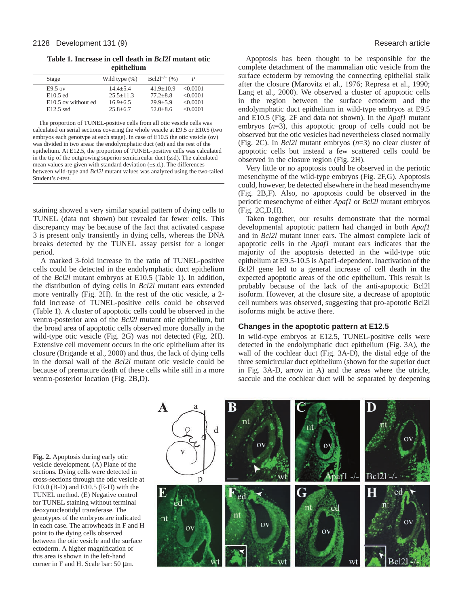**Table 1. Increase in cell death in** *Bcl2l* **mutant otic epithelium** 

| Stage               | Wild type $(\%)$ | $Bcl2l^{-/-}$ (%) |          |
|---------------------|------------------|-------------------|----------|
| $E9.5$ ov           | $14.4 + 5.4$     | $41.9+10.9$       | <0.0001  |
| $E10.5$ ed          | $25.5 + 11.3$    | $77.2 + 8.8$      | < 0.0001 |
| E10.5 ov without ed | $16.9 + 6.5$     | $29.9 + 5.9$      | < 0.0001 |
| $E12.5$ ssd         | $25.8 + 6.7$     | $52.0 + 8.6$      | < 0.0001 |

The proportion of TUNEL-positive cells from all otic vesicle cells was calculated on serial sections covering the whole vesicle at E9.5 or E10.5 (two embryos each genotype at each stage). In case of E10.5 the otic vesicle (ov) was divided in two areas: the endolymphatic duct (ed) and the rest of the epithelium. At E12.5, the proportion of TUNEL-positive cells was calculated in the tip of the outgrowing superior semicircular duct (ssd). The calculated mean values are given with standard deviation  $(\pm s.d.)$ . The differences between wild-type and *Bcl2l* mutant values was analyzed using the two-tailed Student's *t*-test.

staining showed a very similar spatial pattern of dying cells to TUNEL (data not shown) but revealed far fewer cells. This discrepancy may be because of the fact that activated caspase 3 is present only transiently in dying cells, whereas the DNA breaks detected by the TUNEL assay persist for a longer period.

A marked 3-fold increase in the ratio of TUNEL-positive cells could be detected in the endolymphatic duct epithelium of the *Bcl2l* mutant embryos at E10.5 (Table 1). In addition, the distribution of dying cells in *Bcl2l* mutant ears extended more ventrally (Fig. 2H). In the rest of the otic vesicle, a 2 fold increase of TUNEL-positive cells could be observed (Table 1). A cluster of apoptotic cells could be observed in the ventro-posterior area of the *Bcl2l* mutant otic epithelium, but the broad area of apoptotic cells observed more dorsally in the wild-type otic vesicle (Fig. 2G) was not detected (Fig. 2H). Extensive cell movement occurs in the otic epithelium after its closure (Brigande et al., 2000) and thus, the lack of dying cells in the dorsal wall of the *Bcl2l* mutant otic vesicle could be because of premature death of these cells while still in a more ventro-posterior location (Fig. 2B,D).

Apoptosis has been thought to be responsible for the complete detachment of the mammalian otic vesicle from the surface ectoderm by removing the connecting epithelial stalk after the closure (Marovitz et al., 1976; Represa et al., 1990; Lang et al., 2000). We observed a cluster of apoptotic cells in the region between the surface ectoderm and the endolymphatic duct epithelium in wild-type embryos at E9.5 and E10.5 (Fig. 2F and data not shown). In the *Apaf1* mutant embryos  $(n=3)$ , this apoptotic group of cells could not be observed but the otic vesicles had nevertheless closed normally (Fig. 2C). In *Bcl2l* mutant embryos (*n*=3) no clear cluster of apoptotic cells but instead a few scattered cells could be observed in the closure region (Fig. 2H).

Very little or no apoptosis could be observed in the periotic mesenchyme of the wild-type embryos (Fig. 2F,G). Apoptosis could, however, be detected elsewhere in the head mesenchyme (Fig. 2B,F). Also, no apoptosis could be observed in the periotic mesenchyme of either *Apaf1* or *Bcl2l* mutant embryos (Fig. 2C,D,H).

Taken together, our results demonstrate that the normal developmental apoptotic pattern had changed in both *Apaf1* and in *Bcl2l* mutant inner ears. The almost complete lack of apoptotic cells in the *Apaf1* mutant ears indicates that the majority of the apoptosis detected in the wild-type otic epithelium at E9.5-10.5 is Apaf1-dependent. Inactivation of the *Bcl2l* gene led to a general increase of cell death in the expected apoptotic areas of the otic epithelium. This result is probably because of the lack of the anti-apoptotic Bcl2l isoform. However, at the closure site, a decrease of apoptotic cell numbers was observed, suggesting that pro-apototic Bcl2l isoforms might be active there.

# **Changes in the apoptotic pattern at E12.5**

In wild-type embryos at E12.5, TUNEL-positive cells were detected in the endolymphatic duct epithelium (Fig. 3A), the wall of the cochlear duct (Fig. 3A-D), the distal edge of the three semicircular duct epithelium (shown for the superior duct in Fig. 3A-D, arrow in A) and the areas where the utricle, saccule and the cochlear duct will be separated by deepening

**Fig. 2.** Apoptosis during early otic vesicle development. (A) Plane of the sections. Dying cells were detected in cross-sections through the otic vesicle at  $E10.0$  (B-D) and  $E10.5$  (E-H) with the TUNEL method. (E) Negative control for TUNEL staining without terminal deoxynucleotidyl transferase. The genotypes of the embryos are indicated in each case. The arrowheads in F and H point to the dying cells observed between the otic vesicle and the surface ectoderm. A higher magnification of this area is shown in the left-hand corner in F and H. Scale bar: 50 µm.

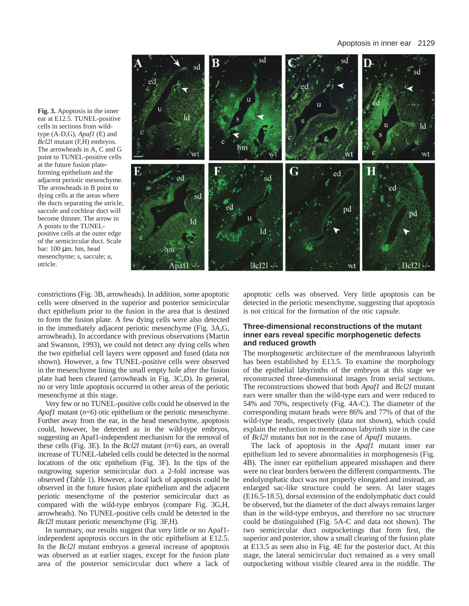#### Apoptosis in inner ear 2129



**Fig. 3.** Apoptosis in the inner ear at E12.5. TUNEL-positive cells in sections from wildtype (A-D,G), *Apaf1* (E) and *Bcl2l* mutant (F,H) embryos. The arrowheads in A, C and G point to TUNEL-positive cells at the future fusion plateforming epithelium and the adjacent periotic mesenchyme. The arrowheads in B point to dying cells at the areas where the ducts separating the utricle, saccule and cochlear duct will become thinner. The arrow in A points to the TUNELpositive cells at the outer edge of the semicircular duct. Scale bar: 100 µm. hm, head mesenchyme; s, saccule; u, utricle.

constrictions (Fig. 3B, arrowheads). In addition, some apoptotic cells were observed in the superior and posterior semicircular duct epithelium prior to the fusion in the area that is destined to form the fusion plate. A few dying cells were also detected in the immediately adjacent periotic mesenchyme (Fig. 3A,G, arrowheads). In accordance with previous observations (Martin and Swanson, 1993), we could not detect any dying cells when the two epithelial cell layers were opposed and fused (data not shown). However, a few TUNEL-positive cells were observed in the mesenchyme lining the small empty hole after the fusion plate had been cleared (arrowheads in Fig. 3C,D). In general, no or very little apoptosis occurred in other areas of the periotic mesenchyme at this stage.

Very few or no TUNEL-positive cells could be observed in the *Apaf1* mutant (*n*=6) otic epithelium or the periotic mesenchyme. Further away from the ear, in the head mesenchyme, apoptosis could, however, be detected as in the wild-type embryos, suggesting an Apaf1-independent mechanism for the removal of these cells (Fig. 3E). In the *Bcl2l* mutant (*n*=6) ears, an overall increase of TUNEL-labeled cells could be detected in the normal locations of the otic epithelium (Fig. 3F). In the tips of the outgrowing superior semicircular duct a 2-fold increase was observed (Table 1). However, a local lack of apoptosis could be observed in the future fusion plate epithelium and the adjacent periotic mesenchyme of the posterior semicircular duct as compared with the wild-type embryos (compare Fig. 3G,H, arrowheads). No TUNEL-positive cells could be detected in the *Bcl2l* mutant periotic mesenchyme (Fig. 3F,H).

In summary, our results suggest that very little or no Apaf1 independent apoptosis occurs in the otic epithelium at E12.5. In the *Bcl2l* mutant embryos a general increase of apoptosis was observed as at earlier stages, except for the fusion plate area of the posterior semicircular duct where a lack of

apoptotic cells was observed. Very little apoptosis can be detected in the periotic mesenchyme, suggesting that apoptosis is not critical for the formation of the otic capsule.

# **Three-dimensional reconstructions of the mutant inner ears reveal specific morphogenetic defects and reduced growth**

The morphogenetic architecture of the membranous labyrinth has been established by E13.5. To examine the morphology of the epithelial labyrinths of the embryos at this stage we reconstructed three-dimensional images from serial sections. The reconstructions showed that both *Apaf1* and *Bcl2l* mutant ears were smaller than the wild-type ears and were reduced to 54% and 70%, respectively (Fig. 4A-C). The diameter of the corresponding mutant heads were 86% and 77% of that of the wild-type heads, respectively (data not shown), which could explain the reduction in membranous labyrinth size in the case of *Bcl2l* mutants but not in the case of *Apaf1* mutants.

The lack of apoptosis in the *Apaf1* mutant inner ear epithelium led to severe abnormalities in morphogenesis (Fig. 4B). The inner ear epithelium appeared misshapen and there were no clear borders between the different compartments. The endolymphatic duct was not properly elongated and instead, an enlarged sac-like structure could be seen. At later stages (E16.5-18.5), dorsal extension of the endolymphatic duct could be observed, but the diameter of the duct always remains larger than in the wild-type embryos, and therefore no sac structure could be distinguished (Fig. 5A-C and data not shown). The two semicircular duct outpocketings that form first, the superior and posterior, show a small clearing of the fusion plate at E13.5 as seen also in Fig. 4E for the posterior duct. At this stage, the lateral semicircular duct remained as a very small outpocketing without visible cleared area in the middle. The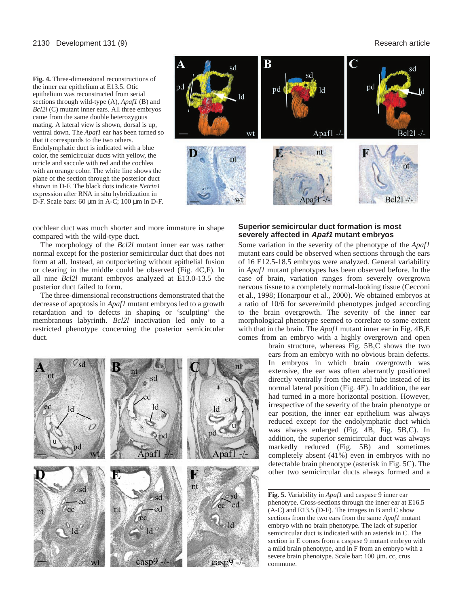#### 2130 Development 131 (9) Research article

**Fig. 4.** Three-dimensional reconstructions of the inner ear epithelium at E13.5. Otic epithelium was reconstructed from serial sections through wild-type (A), *Apaf1* (B) and *Bcl2l* (C) mutant inner ears. All three embryos came from the same double heterozygous mating. A lateral view is shown, dorsal is up, ventral down. The *Apaf1* ear has been turned so that it corresponds to the two others. Endolymphatic duct is indicated with a blue color, the semicircular ducts with yellow, the utricle and saccule with red and the cochlea with an orange color. The white line shows the plane of the section through the posterior duct shown in D-F. The black dots indicate *Netrin1* expression after RNA in situ hybridization in D-F. Scale bars: 60 µm in A-C; 100 µm in D-F.



cochlear duct was much shorter and more immature in shape compared with the wild-type duct.

The morphology of the *Bcl2l* mutant inner ear was rather normal except for the posterior semicircular duct that does not form at all. Instead, an outpocketing without epithelial fusion or clearing in the middle could be observed (Fig. 4C,F). In all nine *Bcl2l* mutant embryos analyzed at E13.0-13.5 the posterior duct failed to form.

The three-dimensional reconstructions demonstrated that the decrease of apoptosis in *Apaf1* mutant embryos led to a growth retardation and to defects in shaping or 'sculpting' the membranous labyrinth. *Bcl2l* inactivation led only to a restricted phenotype concerning the posterior semicircular duct.



# **Superior semicircular duct formation is most severely affected in Apaf1 mutant embryos**

Some variation in the severity of the phenotype of the *Apaf1* mutant ears could be observed when sections through the ears of 16 E12.5-18.5 embryos were analyzed. General variability in *Apaf1* mutant phenotypes has been observed before. In the case of brain, variation ranges from severely overgrown nervous tissue to a completely normal-looking tissue (Cecconi et al., 1998; Honarpour et al., 2000). We obtained embryos at a ratio of 10/6 for severe/mild phenotypes judged according to the brain overgrowth. The severity of the inner ear morphological phenotype seemed to correlate to some extent with that in the brain. The *Apaf1* mutant inner ear in Fig. 4B,E comes from an embryo with a highly overgrown and open

brain structure, whereas Fig. 5B,C shows the two ears from an embryo with no obvious brain defects. In embryos in which brain overgrowth was extensive, the ear was often aberrantly positioned directly ventrally from the neural tube instead of its normal lateral position (Fig. 4E). In addition, the ear had turned in a more horizontal position. However, irrespective of the severity of the brain phenotype or ear position, the inner ear epithelium was always reduced except for the endolymphatic duct which was always enlarged (Fig. 4B, Fig. 5B,C). In addition, the superior semicircular duct was always markedly reduced (Fig. 5B) and sometimes completely absent (41%) even in embryos with no detectable brain phenotype (asterisk in Fig. 5C). The other two semicircular ducts always formed and a

**Fig. 5.** Variability in *Apaf1* and caspase 9 inner ear phenotype. Cross-sections through the inner ear at E16.5 (A-C) and E13.5 (D-F). The images in B and C show sections from the two ears from the same *Apaf1* mutant embryo with no brain phenotype. The lack of superior semicircular duct is indicated with an asterisk in C. The section in E comes from a caspase 9 mutant embryo with a mild brain phenotype, and in F from an embryo with a severe brain phenotype. Scale bar: 100 µm. cc, crus commune.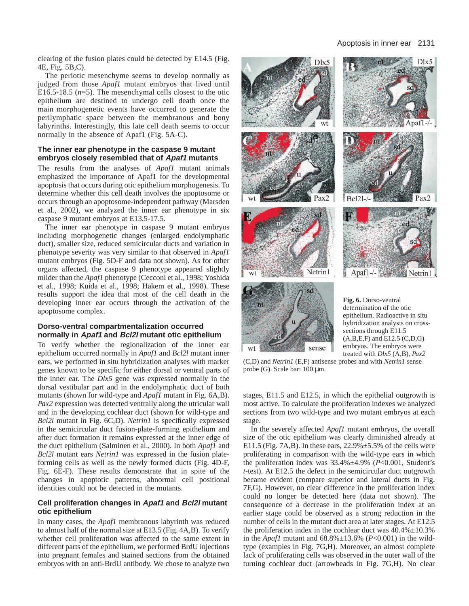clearing of the fusion plates could be detected by E14.5 (Fig. 4E, Fig. 5B,C).

The periotic mesenchyme seems to develop normally as judged from those *Apaf1* mutant embryos that lived until E16.5-18.5  $(n=5)$ . The mesenchymal cells closest to the otic epithelium are destined to undergo cell death once the main morphogenetic events have occurred to generate the perilymphatic space between the membranous and bony labyrinths. Interestingly, this late cell death seems to occur normally in the absence of Apaf1 (Fig. 5A-C).

# **The inner ear phenotype in the caspase 9 mutant embryos closely resembled that of Apaf1 mutants**

The results from the analyses of *Apaf1* mutant animals emphasized the importance of Apaf1 for the developmental apoptosis that occurs during otic epithelium morphogenesis. To determine whether this cell death involves the apoptosome or occurs through an apoptosome-independent pathway (Marsden et al., 2002), we analyzed the inner ear phenotype in six caspase 9 mutant embryos at E13.5-17.5.

The inner ear phenotype in caspase 9 mutant embryos including morphogenetic changes (enlarged endolymphatic duct), smaller size, reduced semicircular ducts and variation in phenotype severity was very similar to that observed in *Apaf1* mutant embryos (Fig. 5D-F and data not shown). As for other organs affected, the caspase 9 phenotype appeared slightly milder than the *Apaf1* phenotype (Cecconi et al., 1998; Yoshida et al., 1998; Kuida et al., 1998; Hakem et al., 1998). These results support the idea that most of the cell death in the developing inner ear occurs through the activation of the apoptosome complex.

#### **Dorso-ventral compartmentalization occurred normally in Apaf1 and Bcl2l mutant otic epithelium**

To verify whether the regionalization of the inner ear epithelium occurred normally in *Apaf1* and *Bcl2l* mutant inner ears, we performed in situ hybridization analyses with marker genes known to be specific for either dorsal or ventral parts of the inner ear. The *Dlx5* gene was expressed normally in the dorsal vestibular part and in the endolymphatic duct of both mutants (shown for wild-type and *Apaf1* mutant in Fig. 6A,B). *Pax2* expression was detected ventrally along the utricular wall and in the developing cochlear duct (shown for wild-type and *Bcl2l* mutant in Fig. 6C,D). *Netrin1* is specifically expressed in the semicircular duct fusion-plate-forming epithelium and after duct formation it remains expressed at the inner edge of the duct epithelium (Salminen et al., 2000). In both *Apaf1* and *Bcl2l* mutant ears *Netrin1* was expressed in the fusion plateforming cells as well as the newly formed ducts (Fig. 4D-F, Fig. 6E-F). These results demonstrate that in spite of the changes in apoptotic patterns, abnormal cell positional identities could not be detected in the mutants.

# **Cell proliferation changes in Apaf1 and Bcl2l mutant otic epithelium**

In many cases, the *Apaf1* membranous labyrinth was reduced to almost half of the normal size at E13.5 (Fig. 4A,B). To verify whether cell proliferation was affected to the same extent in different parts of the epithelium, we performed BrdU injections into pregnant females and stained sections from the obtained embryos with an anti-BrdU antibody. We chose to analyze two



(C,D) and *Netrin1* (E,F) antisense probes and with *Netrin1* sense probe (G). Scale bar: 100 µm.

sense

wt

treated with *Dlx5* (A,B), *Pax2*

stages, E11.5 and E12.5, in which the epithelial outgrowth is most active. To calculate the proliferation indexes we analyzed sections from two wild-type and two mutant embryos at each stage.

In the severely affected *Apaf1* mutant embryos, the overall size of the otic epithelium was clearly diminished already at E11.5 (Fig. 7A,B). In these ears,  $22.9\% \pm 5.5\%$  of the cells were proliferating in comparison with the wild-type ears in which the proliferation index was 33.4%±4.9% (*P*<0.001, Student's *t*-test). At E12.5 the defect in the semicircular duct outgrowth became evident (compare superior and lateral ducts in Fig. 7F,G). However, no clear difference in the proliferation index could no longer be detected here (data not shown). The consequence of a decrease in the proliferation index at an earlier stage could be observed as a strong reduction in the number of cells in the mutant duct area at later stages. At E12.5 the proliferation index in the cochlear duct was  $40.4\% \pm 10.3\%$ in the *Apaf1* mutant and  $68.8\% \pm 13.6\%$  (*P*<0.001) in the wildtype (examples in Fig. 7G,H). Moreover, an almost complete lack of proliferating cells was observed in the outer wall of the turning cochlear duct (arrowheads in Fig. 7G,H). No clear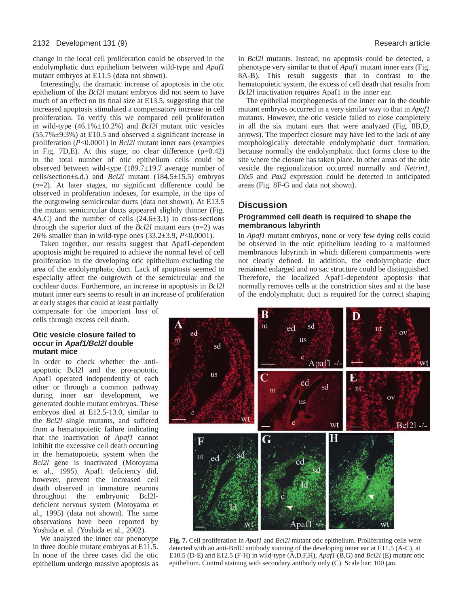change in the local cell proliferation could be observed in the endolymphatic duct epithelium between wild-type and *Apaf1* mutant embryos at E11.5 (data not shown).

Interestingly, the dramatic increase of apoptosis in the otic epithelium of the *Bcl2l* mutant embryos did not seem to have much of an effect on its final size at E13.5, suggesting that the increased apoptosis stimulated a compensatory increase in cell proliferation. To verify this we compared cell proliferation in wild-type (46.1%±10.2%) and *Bcl2l* mutant otic vesicles  $(55.7\% \pm 9.3\%)$  at E10.5 and observed a significant increase in proliferation (*P*<0.0001) in *Bcl2l* mutant inner ears (examples in Fig. 7D, E). At this stage, no clear difference  $(p=0.42)$ in the total number of otic epithelium cells could be observed between wild-type  $(189.7\pm19.7$  average number of cells/section±s.d.) and *Bcl2l* mutant (184.5±15.5) embryos (*n*=2). At later stages, no significant difference could be observed in proliferation indexes, for example, in the tips of the outgrowing semicircular ducts (data not shown). At E13.5 the mutant semicircular ducts appeared slightly thinner (Fig.  $4A, C$ ) and the number of cells  $(24.6 \pm 3.1)$  in cross-sections through the superior duct of the *Bcl2l* mutant ears (*n*=2) was 26% smaller than in wild-type ones (33.2±3.9, *P*<0.0001).

Taken together, our results suggest that Apaf1-dependent apoptosis might be required to achieve the normal level of cell proliferation in the developing otic epithelium excluding the area of the endolymphatic duct. Lack of apoptosis seemed to especially affect the outgrowth of the semicircular and the cochlear ducts. Furthermore, an increase in apoptosis in *Bcl2l* mutant inner ears seems to result in an increase of proliferation

at early stages that could at least partially compensate for the important loss of cells through excess cell death.

#### **Otic vesicle closure failed to occur in Apaf1/Bcl2l double mutant mice**

In order to check whether the antiapoptotic Bcl2l and the pro-apototic Apaf1 operated independently of each other or through a common pathway during inner ear development, we generated double mutant embryos. These embryos died at E12.5-13.0, similar to the *Bcl2l* single mutants, and suffered from a hematopoietic failure indicating that the inactivation of *Apaf1* cannot inhibit the excessive cell death occurring in the hematopoietic system when the *Bcl2l* gene is inactivated (Motoyama et al., 1995). Apaf1 deficiency did, however, prevent the increased cell death observed in immature neurons throughout the embryonic Bcl2ldeficient nervous system (Motoyama et al., 1995) (data not shown). The same observations have been reported by Yoshida et al. (Yoshida et al., 2002).

We analyzed the inner ear phenotype in three double mutant embryos at E11.5. In none of the three cases did the otic epithelium undergo massive apoptosis as in *Bcl2l* mutants. Instead, no apoptosis could be detected, a phenotype very similar to that of *Apaf1* mutant inner ears (Fig. 8A-B). This result suggests that in contrast to the hematopoietic system, the excess of cell death that results from *Bcl2l* inactivation requires Apaf1 in the inner ear.

The epithelial morphogenesis of the inner ear in the double mutant embryos occurred in a very similar way to that in *Apaf1* mutants. However, the otic vesicle failed to close completely in all the six mutant ears that were analyzed (Fig. 8B,D, arrows). The imperfect closure may have led to the lack of any morphologically detectable endolymphatic duct formation, because normally the endolymphatic duct forms close to the site where the closure has taken place. In other areas of the otic vesicle the regionalization occurred normally and *Netrin1*, *Dlx5* and *Pax2* expression could be detected in anticipated areas (Fig. 8F-G and data not shown).

# **Discussion**

# **Programmed cell death is required to shape the membranous labyrinth**

In *Apaf1* mutant embryos, none or very few dying cells could be observed in the otic epithelium leading to a malformed membranous labyrinth in which different compartments were not clearly defined. In addition, the endolymphatic duct remained enlarged and no sac structure could be distinguished. Therefore, the localized Apaf1-dependent apoptosis that normally removes cells at the constriction sites and at the base of the endolymphatic duct is required for the correct shaping



**Fig. 7.** Cell proliferation in *Apaf1* and *Bcl2l* mutant otic epithelium. Proliferating cells were detected with an anti-BrdU antibody staining of the developing inner ear at E11.5 (A-C), at E10.5 (D-E) and E12.5 (F-H) in wild-type (A,D,F,H), *Apaf1* (B,G) and *Bcl2l* (E) mutant otic epithelium. Control staining with secondary antibody only (C). Scale bar: 100 µm.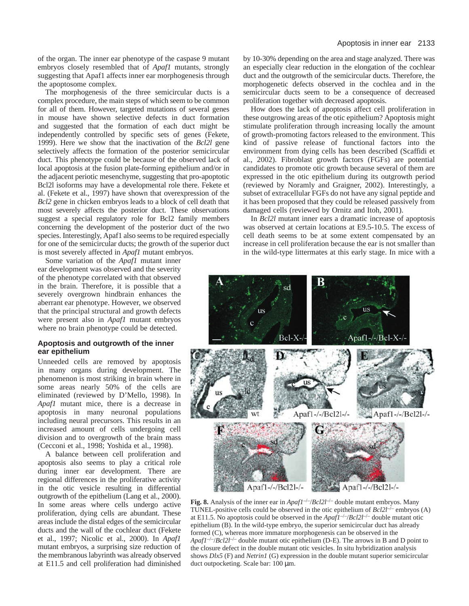of the organ. The inner ear phenotype of the caspase 9 mutant embryos closely resembled that of *Apaf1* mutants, strongly suggesting that Apaf1 affects inner ear morphogenesis through the apoptosome complex.

The morphogenesis of the three semicircular ducts is a complex procedure, the main steps of which seem to be common for all of them. However, targeted mutations of several genes in mouse have shown selective defects in duct formation and suggested that the formation of each duct might be independently controlled by specific sets of genes (Fekete, 1999). Here we show that the inactivation of the *Bcl2l* gene selectively affects the formation of the posterior semicircular duct. This phenotype could be because of the observed lack of local apoptosis at the fusion plate-forming epithelium and/or in the adjacent periotic mesenchyme, suggesting that pro-apoptotic Bcl2l isoforms may have a developmental role there. Fekete et al. (Fekete et al., 1997) have shown that overexpression of the *Bcl2* gene in chicken embryos leads to a block of cell death that most severely affects the posterior duct. These observations suggest a special regulatory role for Bcl2 family members concerning the development of the posterior duct of the two species. Interestingly, Apaf1 also seems to be required especially for one of the semicircular ducts; the growth of the superior duct is most severely affected in *Apaf1* mutant embryos.

Some variation of the *Apaf1* mutant inner ear development was observed and the severity of the phenotype correlated with that observed in the brain. Therefore, it is possible that a severely overgrown hindbrain enhances the aberrant ear phenotype. However, we observed that the principal structural and growth defects were present also in *Apaf1* mutant embryos where no brain phenotype could be detected.

#### **Apoptosis and outgrowth of the inner ear epithelium**

Unneeded cells are removed by apoptosis in many organs during development. The phenomenon is most striking in brain where in some areas nearly 50% of the cells are eliminated (reviewed by D'Mello, 1998). In *Apaf1* mutant mice, there is a decrease in apoptosis in many neuronal populations including neural precursors. This results in an increased amount of cells undergoing cell division and to overgrowth of the brain mass (Cecconi et al., 1998; Yoshida et al., 1998).

A balance between cell proliferation and apoptosis also seems to play a critical role during inner ear development. There are regional differences in the proliferative activity in the otic vesicle resulting in differential outgrowth of the epithelium (Lang et al., 2000). In some areas where cells undergo active proliferation, dying cells are abundant. These areas include the distal edges of the semicircular ducts and the wall of the cochlear duct (Fekete et al., 1997; Nicolic et al., 2000). In *Apaf1* mutant embryos, a surprising size reduction of the membranous labyrinth was already observed at E11.5 and cell proliferation had diminished by 10-30% depending on the area and stage analyzed. There was an especially clear reduction in the elongation of the cochlear duct and the outgrowth of the semicircular ducts. Therefore, the morphogenetic defects observed in the cochlea and in the semicircular ducts seem to be a consequence of decreased proliferation together with decreased apoptosis.

How does the lack of apoptosis affect cell proliferation in these outgrowing areas of the otic epithelium? Apoptosis might stimulate proliferation through increasing locally the amount of growth-promoting factors released to the environment. This kind of passive release of functional factors into the environment from dying cells has been described (Scaffidi et al., 2002). Fibroblast growth factors (FGFs) are potential candidates to promote otic growth because several of them are expressed in the otic epithelium during its outgrowth period (reviewed by Noramly and Graigner, 2002). Interestingly, a subset of extracellular FGFs do not have any signal peptide and it has been proposed that they could be released passively from damaged cells (reviewed by Ornitz and Itoh, 2001).

In *Bcl2l* mutant inner ears a dramatic increase of apoptosis was observed at certain locations at E9.5-10.5. The excess of cell death seems to be at some extent compensated by an increase in cell proliferation because the ear is not smaller than in the wild-type littermates at this early stage. In mice with a



**Fig. 8.** Analysis of the inner ear in  $ApatI^{-/-}/Bcl2I^{-/-}$  double mutant embryos. Many TUNEL-positive cells could be observed in the otic epithelium of  $Bcl2l^{-/-}$  embryos (A) at E11.5. No apoptosis could be observed in the  $A \rho a \hat{I}^{-/-}/B \rho c 2I^{-/-}$  double mutant otic epithelium (B). In the wild-type embryo, the superior semicircular duct has already formed (C), whereas more immature morphogenesis can be observed in the *Apaf1*–/–/*Bcl2l*–/– double mutant otic epithelium (D-E). The arrows in B and D point to the closure defect in the double mutant otic vesicles. In situ hybridization analysis shows *Dlx5* (F) and *Netrin1* (G) expression in the double mutant superior semicircular duct outpocketing. Scale bar: 100 µm.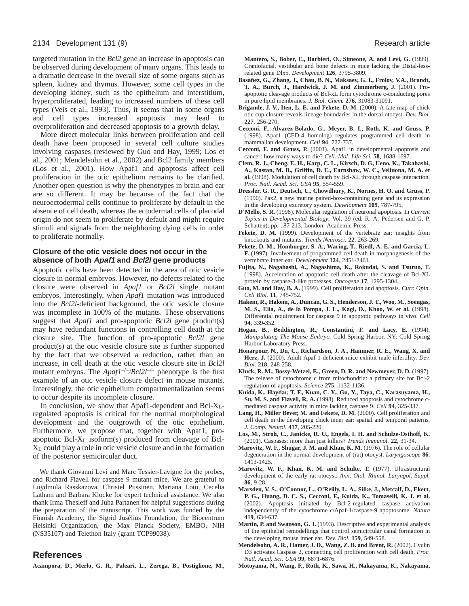targeted mutation in the *Bcl2* gene an increase in apoptosis can be observed during development of many organs. This leads to a dramatic decrease in the overall size of some organs such as spleen, kidney and thymus. However, some cell types in the developing kidney, such as the epithelium and interstitium, hyperproliferated, leading to increased numbers of these cell types (Veis et al., 1993). Thus, it seems that in some organs and cell types increased apoptosis may lead to overproliferation and decreased apoptosis to a growth delay.

More direct molecular links between proliferation and cell death have been proposed in several cell culture studies involving caspases (reviewed by Guo and Hay, 1999; Los et al., 2001; Mendelsohn et al., 2002) and Bcl2 family members (Los et al., 2001). How Apaf1 and apoptosis affect cell proliferation in the otic epithelium remains to be clarified. Another open question is why the phenotypes in brain and ear are so different. It may be because of the fact that the neuroectodermal cells continue to proliferate by default in the absence of cell death, whereas the ectodermal cells of placodal origin do not seem to proliferate by default and might require stimuli and signals from the neighboring dying cells in order to proliferate normally.

# **Closure of the otic vesicle does not occur in the absence of both Apaf1 and Bcl2l gene products**

Apoptotic cells have been detected in the area of otic vesicle closure in normal embryos. However, no defects related to the closure were observed in *Apaf1* or *Bcl2l* single mutant embryos. Interestingly, when *Apaf1* mutation was introduced into the *Bcl2l*-deficient background, the otic vesicle closure was incomplete in 100% of the mutants. These observations suggest that *Apaf1* and pro-apoptotic *Bcl2l* gene product(s) may have redundant functions in controlling cell death at the closure site. The function of pro-apoptotic *Bcl2l* gene product(s) at the otic vesicle closure site is further supported by the fact that we observed a reduction, rather than an increase, in cell death at the otic vesicle closure site in *Bcl2l* mutant embryos. The *Apaf1<sup>-/-</sup>/Bcl2l<sup>-/-</sup>* phenotype is the first example of an otic vesicle closure defect in mouse mutants. Interestingly, the otic epithelium compartmentalization seems to occur despite its incomplete closure.

In conclusion, we show that Apaf1-dependent and  $Bcl-X_L$ regulated apoptosis is critical for the normal morphological development and the outgrowth of the otic epithelium. Furthermore, we propose that, together with Apaf1, proapoptotic Bcl-XL isoform(s) produced from cleavage of Bcl-XL could play a role in otic vesicle closure and in the formation of the posterior semicircular duct.

We thank Giovanni Levi and Marc Tessier-Lavigne for the probes, and Richard Flavell for caspase 9 mutant mice. We are grateful to Luydmula Rasskazova, Christel Pussinen, Mariana Loto, Cecelia Latham and Barbara Klocke for expert technical assistance. We also thank Irma Thesleff and Juha Partanen for helpful suggestions during the preparation of the manuscript. This work was funded by the Finnish Academy, the Sigrid Jusélius Foundation, the Biocentrum Helsinki Organization, the Max Planck Society, EMBO, NIH (NS35107) and Telethon Italy (grant TCP99038).

# **References**

**Acampora, D., Merlo, G. R., Paleari, L., Zerega, B., Postiglione, M.,**

**Mantero, S., Bober, E., Barbieri, O., Simeone, A. and Levi, G.** (1999). Craniofacial, vestibular and bone defects in mice lacking the Distal-lessrelated gene Dlx5. *Development* **126**, 3795-3809.

- **Basañez, G., Zhang, J., Chau, B. N., Maksaev, G. I., Frolov, V.A., Brandt, T. A., Burch, J., Hardwick, J. M. and Zimmerberg, J.** (2001). Proapoptotic cleavage products of Bcl-xL form cytochrome c-conducting pores in pure lipid membranes. *J. Biol. Chem.* **276**, 31083-31091.
- **Brigande, J. V., Iten, L. E. and Fekete, D. M.** (2000). A fate map of chick otic cup closure reveals lineage boundaries in the dorsal otocyst. *Dev. Biol.* **227**, 256-270.
- **Cecconi, F., Alvarez-Bolado, G., Meyer, B. I., Roth, K. and Gruss, P.** (1998). Apaf1 (CED-4 homolog) regulates programmed cell death in mammalian development. *Cell* **94**, 727-737.
- **Cecconi, F. and Gruss, P.** (2001). Apaf1 in developmental apoptosis and cancer: how many ways to die? *Cell. Mol. Life Sci.* **58**, 1688-1697.
- **Clem, R. J., Cheng, E. H., Karp, C. L., Kirsch, D. G, Ueno, K., Takahashi, A., Kastan, M. B., Griffin, D. E., Earnshaw, W. C., Veliuona, M. A. et al.** (1998). Modulation of cell death by Bcl-XL through caspase interaction. *Proc. Natl. Acad. Sci. USA* **95**, 554-559.
- **Dressler, G. R., Deutsch, U., Chowdhury, K., Nornes, H. O. and Gruss, P.** (1990). Pax2, a new murine paired-box-containing gene and its expression in the developing excretory system. *Development* **109**, 787-795.
- **D'Mello, S. R.** (1998). Molecular regulation of neuronal apoptosis. In *Current Topics in Developmental Biology*, Vol. 39 (ed. R. A. Pedersen and G. P. Schatten), pp. 187-213. London: Academic Press.
- Fekete, D. M. (1999). Development of the vertebrate ear: insights from knockouts and mutants. *Trends Neurosci*. **22**, 263-269.
- **Fekete, D. M., Homburger, S. A., Waring, T., Riedl, A. E. and Garcia, L. F.** (1997). Involvement of programmed cell death in morphogenesis of the vertebrate inner ear. *Development* **124**, 2451-2461.
- **Fujita, N., Nagahashi, A., Nagashima, K., Rokudai, S. and Tsuruo, T.** (1998). Acceleration of apoptotic cell death after the cleavage of Bcl-XL protein by caspase-3-like proteases. *Oncogene* **17**, 1295-1304.
- **Guo, M. and Hay, B. A.** (1999). Cell proliferation and apoptosis. *Curr. Opin. Cell Biol.* **11**, 745-752.
- **Hakem, R., Hakem, A., Duncan, G. S., Henderson, J. T., Woo, M., Soengas, M. S., Elia, A., de la Pompa, J. L., Kagi, D., Khoo, W. et al.** (1998). Differential requirement for caspase 9 in apoptotic pathways in vivo. *Cell* **94**, 339-352.
- **Hogan, B., Beddington, R., Constantini, F. and Lacy, E.** (1994). *Manipulating The Mouse Embryo.* Cold Spring Harbor, NY: Cold Spring Harbor Laboratory Press.
- **Honarpour, N., Du, C., Richardson, J. A., Hammer, R. E., Wang, X. and Herz, J.** (2000). Adult Apaf-1-deficient mice exhibit male infertility. *Dev. Biol.* **218**, 248-258.
- **Kluck, R. M., Bossy-Wetzel, E., Green, D. R. and Newmeyer, D. D.** (1997). The release of cytochrome c from mitochondria: a primary site for Bcl-2 regulation of apoptosis. *Science* **275**, 1132-1136.
- **Kuida, K., Haydar, T. F., Kuan, C. Y., Gu, Y., Taya, C., Karasuyama, H., Su, M. S. and Flavell, R. A.** (1998). Reduced apoptosis and cytochrome cmediated caspase activity in mice lacking caspase 9. *Cell* **94**, 325-337.
- Lang, H., Miller Bever, M. and Fekete, D. M. (2000). Cell proliferation and cell death in the developing chick inner ear: spatial and temporal patterns. *J. Comp. Neurol.* **417**, 205-220.
- **Los, M., Stroh, C., Janicke, R. U., Engels, I. H. and Schulze-Osthoff, K.** (2001). Caspases: more than just killers? *Trends Immunol.* **22**, 31-34.
- **Marovitz, W. F., Shugar, J. M. and Khan, K. M.** (1976). The role of cellular degeneration in the normal development of (rat) otocyst. *Laryngoscope* **86**, 1413-1425.
- Marovitz, W. F., Khan, K. M. and Schulte, T. (1977). Ultrastructural development of the early rat otocyst. *Ann. Otol. Rhinol. Laryngol. Suppl.* **86**, 9-28.
- **Marsden, V. S., O'Connor, L., O'Reilly, L. A., Silke, J., Metcalf, D., Ekert, P. G., Huang, D. C. S., Cecconi, F., Kuida, K., Tomaselli, K. J. et al.** (2002). Apoptosis initiated by Bcl-2-regulated caspase activation independently of the cytochrome c/Apaf-1/caspase-9 apoptosome. *Nature* **419**, 634-637.
- **Martin, P. and Swanson, G. J.** (1993). Descriptive and experimental analysis of the epithelial remodellings that control semicircular canal formation in the developing mouse inner ear. *Dev. Biol.* **159**, 549-558.
- Mendelsohn, A. R., Hamer, J. D., Wang, Z. B. and Brent, R. (2002). Cyclin D3 activates Caspase 2, connecting cell proliferation with cell death. *Proc. Natl. Acad. Sci. USA* **99**, 6871-6876.
- **Motoyama, N., Wang, F., Roth, K., Sawa, H., Nakayama, K., Nakayama,**